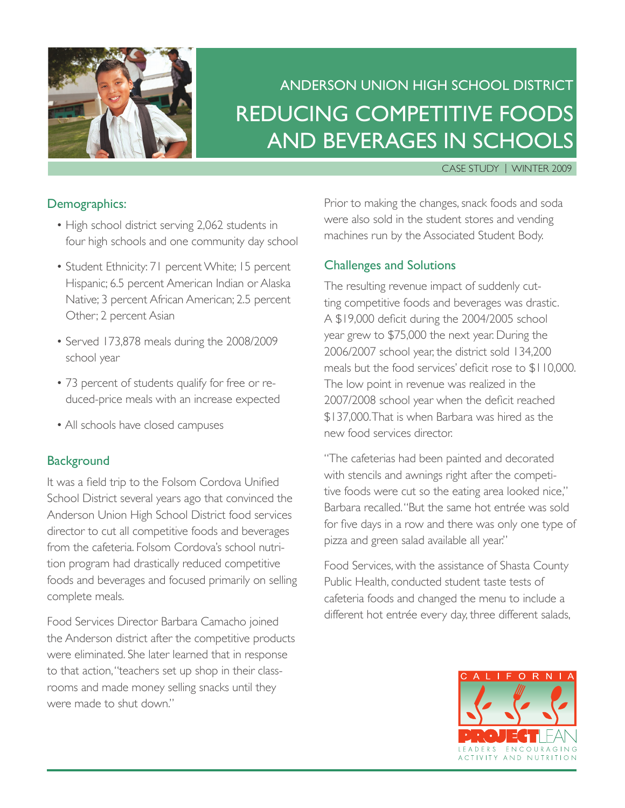

# Anderson Union High School District Reducing Competitive Foods and Beverages in Schools

#### Case Study | Winter 2009

### Demographics:

- High school district serving 2,062 students in four high schools and one community day school
- Student Ethnicity: 71 percent White; 15 percent Hispanic; 6.5 percent American Indian or Alaska Native; 3 percent African American; 2.5 percent Other; 2 percent Asian
- Served 173,878 meals during the 2008/2009 school year
- 73 percent of students qualify for free or reduced-price meals with an increase expected
- All schools have closed campuses

### **Background**

It was a field trip to the Folsom Cordova Unified School District several years ago that convinced the Anderson Union High School District food services director to cut all competitive foods and beverages from the cafeteria. Folsom Cordova's school nutrition program had drastically reduced competitive foods and beverages and focused primarily on selling complete meals.

Food Services Director Barbara Camacho joined the Anderson district after the competitive products were eliminated. She later learned that in response to that action, "teachers set up shop in their classrooms and made money selling snacks until they were made to shut down."

Prior to making the changes, snack foods and soda were also sold in the student stores and vending machines run by the Associated Student Body.

### Challenges and Solutions

The resulting revenue impact of suddenly cutting competitive foods and beverages was drastic. A \$19,000 deficit during the 2004/2005 school year grew to \$75,000 the next year. During the 2006/2007 school year, the district sold 134,200 meals but the food services' deficit rose to \$110,000. The low point in revenue was realized in the 2007/2008 school year when the deficit reached \$137,000. That is when Barbara was hired as the new food services director.

"The cafeterias had been painted and decorated with stencils and awnings right after the competitive foods were cut so the eating area looked nice," Barbara recalled. "But the same hot entrée was sold for five days in a row and there was only one type of pizza and green salad available all year."

Food Services, with the assistance of Shasta County Public Health, conducted student taste tests of cafeteria foods and changed the menu to include a different hot entrée every day, three different salads,

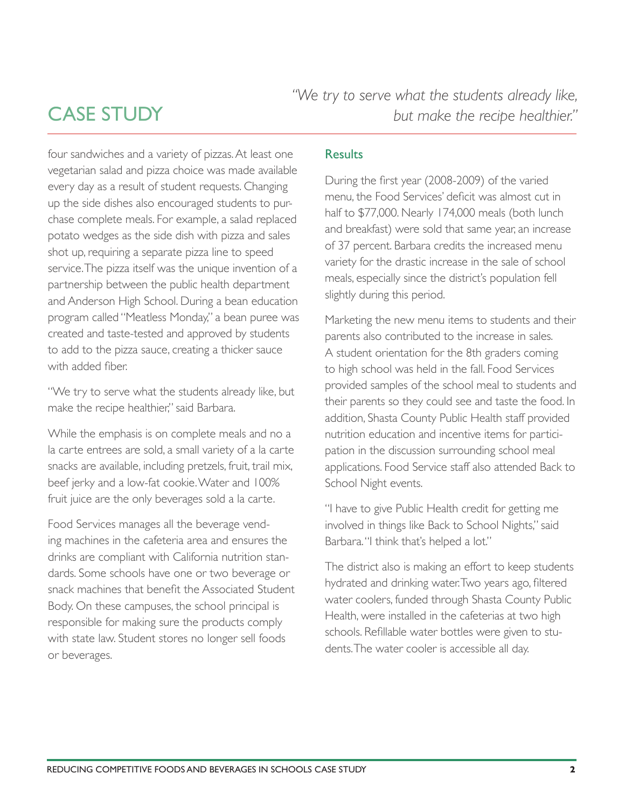*"We try to serve what the students already like, but make the recipe healthier."*

### **CASE STUDY**

four sandwiches and a variety of pizzas. At least one vegetarian salad and pizza choice was made available every day as a result of student requests. Changing up the side dishes also encouraged students to purchase complete meals. For example, a salad replaced potato wedges as the side dish with pizza and sales shot up, requiring a separate pizza line to speed service. The pizza itself was the unique invention of a partnership between the public health department and Anderson High School. During a bean education program called "Meatless Monday," a bean puree was created and taste-tested and approved by students to add to the pizza sauce, creating a thicker sauce with added fiber.

"We try to serve what the students already like, but make the recipe healthier," said Barbara.

While the emphasis is on complete meals and no a la carte entrees are sold, a small variety of a la carte snacks are available, including pretzels, fruit, trail mix, beef jerky and a low-fat cookie. Water and 100% fruit juice are the only beverages sold a la carte.

Food Services manages all the beverage vending machines in the cafeteria area and ensures the drinks are compliant with California nutrition standards. Some schools have one or two beverage or snack machines that benefit the Associated Student Body. On these campuses, the school principal is responsible for making sure the products comply with state law. Student stores no longer sell foods or beverages.

### Results

During the first year (2008-2009) of the varied menu, the Food Services' deficit was almost cut in half to \$77,000. Nearly 174,000 meals (both lunch and breakfast) were sold that same year, an increase of 37 percent. Barbara credits the increased menu variety for the drastic increase in the sale of school meals, especially since the district's population fell slightly during this period.

Marketing the new menu items to students and their parents also contributed to the increase in sales. A student orientation for the 8th graders coming to high school was held in the fall. Food Services provided samples of the school meal to students and their parents so they could see and taste the food. In addition, Shasta County Public Health staff provided nutrition education and incentive items for participation in the discussion surrounding school meal applications. Food Service staff also attended Back to School Night events.

"I have to give Public Health credit for getting me involved in things like Back to School Nights," said Barbara. "I think that's helped a lot."

The district also is making an effort to keep students hydrated and drinking water. Two years ago, filtered water coolers, funded through Shasta County Public Health, were installed in the cafeterias at two high schools. Refillable water bottles were given to students. The water cooler is accessible all day.